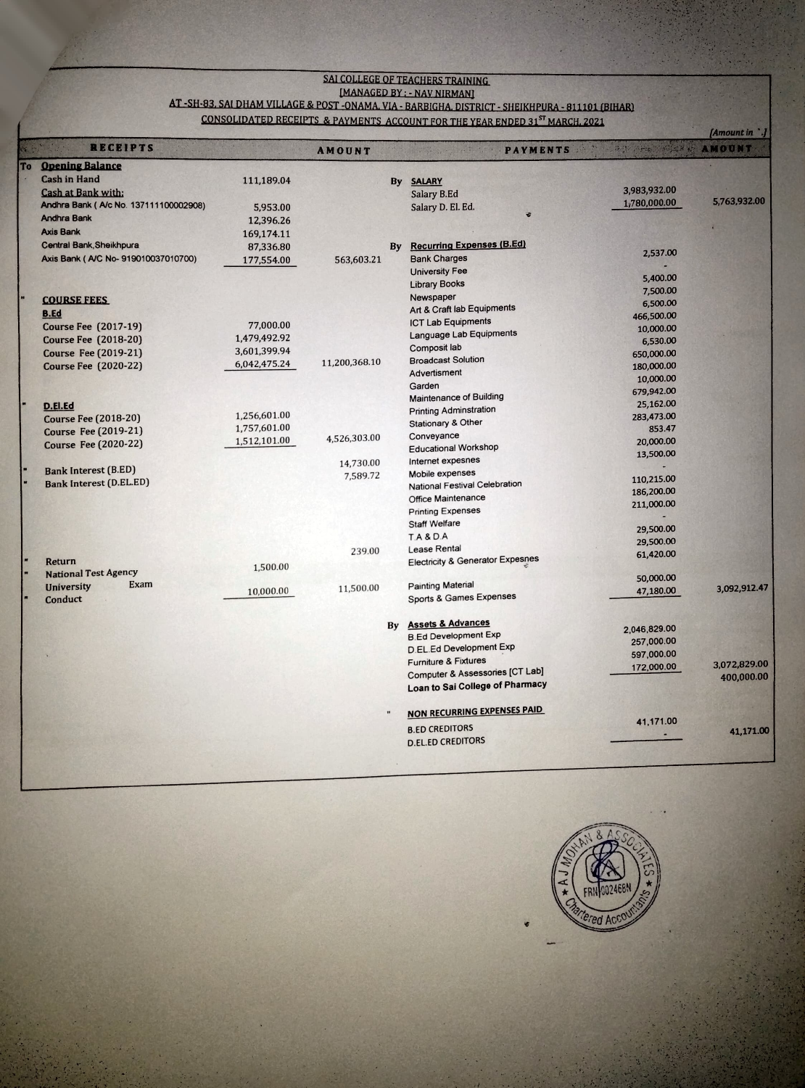## SAL COLLEGE OF TEACHERS TRAINING<br>[MANAGED BY : - NAV NIRMAN]

## AT-SH-83, SAI DHAM VILLAGE & POST-ONAMA, VIA - BARBIGHA, DISTRICT - SHEIKHPURA - 811101 (BIHAR) CONSOLIDATED RECEIPTS & PAYMENTS ACCOUNT FOR THE YEAR ENDED 31<sup>ST</sup> MARCH. 2021

|  |                                        |              |               |    |                                                                    |                     | [Amount in]  |
|--|----------------------------------------|--------------|---------------|----|--------------------------------------------------------------------|---------------------|--------------|
|  | <b>RECEIPTS</b>                        |              | <b>AMOUNT</b> |    | $\mathcal{L}(\mathcal{X})$<br><b>PAYMENTS</b>                      | <b>NOUNT AMOUNT</b> |              |
|  | <b>To</b> Opening Balance              |              |               |    |                                                                    |                     |              |
|  | <b>Cash in Hand</b>                    | 111,189.04   |               |    | <b>By SALARY</b>                                                   |                     |              |
|  | <b>Cash at Bank with:</b>              |              |               |    | Salary B.Ed                                                        | 3,983,932.00        |              |
|  | Andhra Bank ( A/c No. 137111100002908) | 5,953.00     |               |    | Salary D. El. Ed.                                                  | 1,780,000.00        | 5,763,932.00 |
|  | <b>Andhra Bank</b>                     | 12,396.26    |               |    |                                                                    |                     |              |
|  | <b>Axis Bank</b>                       | 169,174.11   |               |    |                                                                    |                     |              |
|  | Central Bank, Sheikhpura               | 87,336.80    |               | By | <b>Recurring Expenses (B.Ed)</b>                                   |                     |              |
|  | Axis Bank ( A/C No- 919010037010700)   | 177,554.00   | 563,603.21    |    | <b>Bank Charges</b>                                                | 2,537.00            |              |
|  |                                        |              |               |    | University Fee                                                     |                     |              |
|  |                                        |              |               |    | <b>Library Books</b>                                               | 5,400.00            |              |
|  | <b>COURSE FEES</b>                     |              |               |    | Newspaper                                                          | 7,500.00            |              |
|  |                                        |              |               |    | Art & Craft lab Equipments                                         | 6,500.00            |              |
|  | <b>B.Ed</b>                            | 77,000.00    |               |    | <b>ICT Lab Equipments</b>                                          | 466,500.00          |              |
|  | <b>Course Fee (2017-19)</b>            |              |               |    | Language Lab Equipments                                            | 10,000.00           |              |
|  | <b>Course Fee (2018-20)</b>            | 1,479,492.92 |               |    | Composit lab                                                       | 6,530.00            |              |
|  | <b>Course Fee (2019-21)</b>            | 3,601,399.94 |               |    | <b>Broadcast Solution</b>                                          | 650,000.00          |              |
|  | <b>Course Fee (2020-22)</b>            | 6,042,475.24 | 11,200,368.10 |    | Advertisment                                                       | 180,000.00          |              |
|  |                                        |              |               |    | Garden                                                             | 10,000.00           |              |
|  |                                        |              |               |    | <b>Maintenance of Building</b>                                     | 679,942.00          |              |
|  | D.El.Ed                                |              |               |    | <b>Printing Adminstration</b>                                      | 25,162.00           |              |
|  | <b>Course Fee (2018-20)</b>            | 1,256,601.00 |               |    | <b>Stationary &amp; Other</b>                                      | 283,473.00          |              |
|  | <b>Course Fee (2019-21)</b>            | 1,757,601.00 |               |    | Conveyance                                                         | 853.47              |              |
|  | <b>Course Fee (2020-22)</b>            | 1,512,101.00 | 4,526,303.00  |    | <b>Educational Workshop</b>                                        | 20,000.00           |              |
|  |                                        |              |               |    | Internet expesnes                                                  | 13,500.00           |              |
|  | <b>Bank Interest (B.ED)</b>            |              | 14,730.00     |    | Mobile expenses                                                    |                     |              |
|  | <b>Bank Interest (D.EL.ED)</b>         |              | 7,589.72      |    | National Festival Celebration                                      | 110,215.00          |              |
|  |                                        |              |               |    | Office Maintenance                                                 | 186,200.00          |              |
|  |                                        |              |               |    | <b>Printing Expenses</b>                                           | 211,000.00          |              |
|  |                                        |              |               |    | <b>Staff Welfare</b>                                               |                     |              |
|  |                                        |              |               |    | <b>T.A &amp; D.A</b>                                               | 29,500.00           |              |
|  |                                        |              |               |    |                                                                    | 29,500.00           |              |
|  |                                        |              | 239.00        |    | Lease Rental<br><b>Electricity &amp; Generator Expesnes</b>        | 61,420.00           |              |
|  | Return                                 | 1,500.00     |               |    |                                                                    |                     |              |
|  | <b>National Test Agency</b><br>Exam    |              |               |    | <b>Painting Material</b>                                           | 50,000.00           |              |
|  | <b>University</b><br>Conduct           | 10,000.00    | 11,500.00     |    | Sports & Games Expenses                                            | 47,180.00           | 3.092,912.47 |
|  |                                        |              |               |    |                                                                    |                     |              |
|  |                                        |              |               |    | By Assets & Advances                                               | 2,046,829.00        |              |
|  |                                        |              |               |    | <b>B.Ed Development Exp</b>                                        | 257,000.00          |              |
|  |                                        |              |               |    | <b>D.EL.Ed Development Exp</b>                                     | 597,000.00          |              |
|  |                                        |              |               |    | <b>Furniture &amp; Fixtures</b>                                    | 172,000.00          | 3,072,829.00 |
|  |                                        |              |               |    | Computer & Assessories [CT Lab]<br>Loan to Sai College of Pharmacy |                     | 400,000.00   |
|  |                                        |              |               |    | <b>NON RECURRING EXPENSES PAID</b>                                 |                     |              |
|  |                                        |              |               |    |                                                                    | 41,171.00           |              |
|  |                                        |              |               |    | <b>B.ED CREDITORS</b>                                              |                     | 41,171.00    |
|  |                                        |              |               |    | <b>D.EL.ED CREDITORS</b>                                           |                     |              |